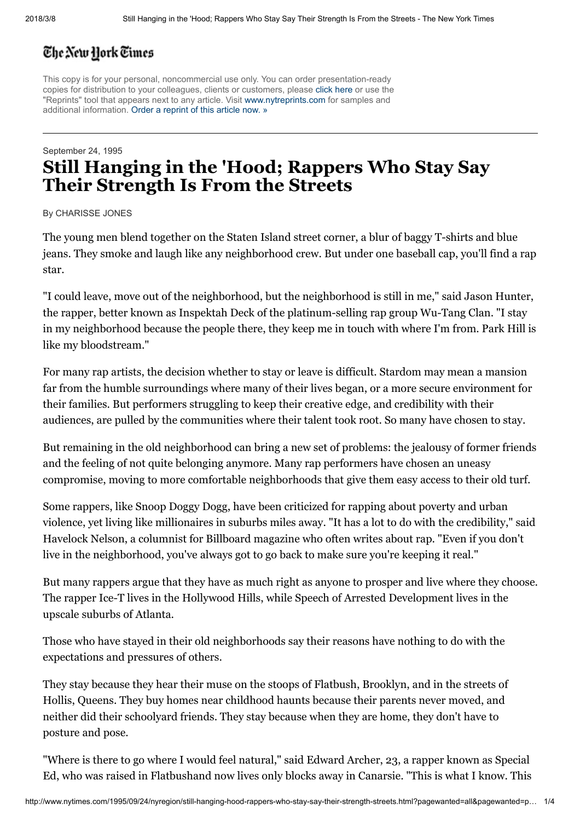## The New Hork Times

This copy is for your personal, noncommercial use only. You can order presentation-ready copies for distribution to your colleagues, clients or customers, please click here or use the "Reprints" tool that appears next to any article. Visit [www.nytreprints.com](http://www.nytreprints.com/) for samples and additional information. Order a reprint of this article now. »

## September 24, 1995 Still Hanging in the 'Hood; Rappers Who Stay Say Their Strength Is From the Streets

By CHARISSE JONES

The young men blend together on the Staten Island street corner, a blur of baggy T-shirts and blue jeans. They smoke and laugh like any neighborhood crew. But under one baseball cap, you'll find a rap star.

"I could leave, move out of the neighborhood, but the neighborhood is still in me," said Jason Hunter, the rapper, better known as Inspektah Deck of the platinum-selling rap group Wu-Tang Clan. "I stay in my neighborhood because the people there, they keep me in touch with where I'm from. Park Hill is like my bloodstream."

For many rap artists, the decision whether to stay or leave is difficult. Stardom may mean a mansion far from the humble surroundings where many of their lives began, or a more secure environment for their families. But performers struggling to keep their creative edge, and credibility with their audiences, are pulled by the communities where their talent took root. So many have chosen to stay.

But remaining in the old neighborhood can bring a new set of problems: the jealousy of former friends and the feeling of not quite belonging anymore. Many rap performers have chosen an uneasy compromise, moving to more comfortable neighborhoods that give them easy access to their old turf.

Some rappers, like Snoop Doggy Dogg, have been criticized for rapping about poverty and urban violence, yet living like millionaires in suburbs miles away. "It has a lot to do with the credibility," said Havelock Nelson, a columnist for Billboard magazine who often writes about rap. "Even if you don't live in the neighborhood, you've always got to go back to make sure you're keeping it real."

But many rappers argue that they have as much right as anyone to prosper and live where they choose. The rapper Ice-T lives in the Hollywood Hills, while Speech of Arrested Development lives in the upscale suburbs of Atlanta.

Those who have stayed in their old neighborhoods say their reasons have nothing to do with the expectations and pressures of others.

They stay because they hear their muse on the stoops of Flatbush, Brooklyn, and in the streets of Hollis, Queens. They buy homes near childhood haunts because their parents never moved, and neither did their schoolyard friends. They stay because when they are home, they don't have to posture and pose.

"Where is there to go where I would feel natural," said Edward Archer, 23, a rapper known as Special Ed, who was raised in Flatbushand now lives only blocks away in Canarsie. "This is what I know. This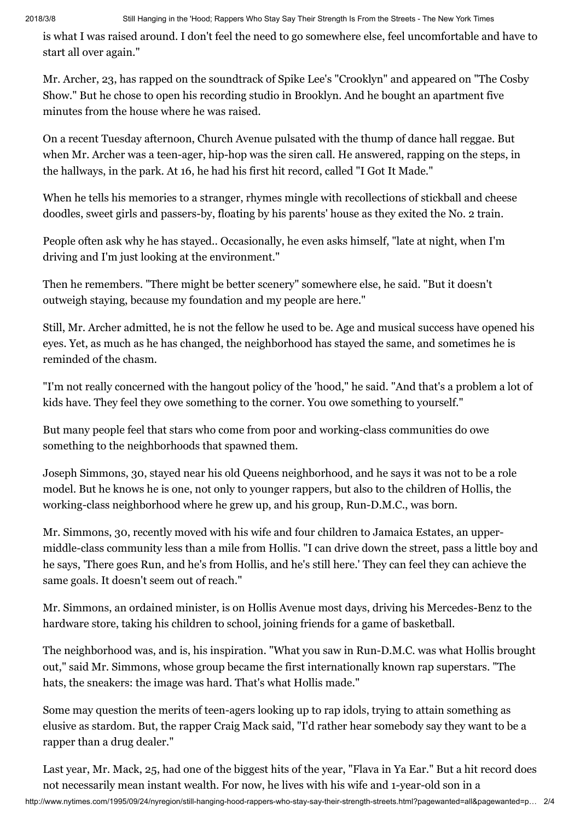is what I was raised around. I don't feel the need to go somewhere else, feel uncomfortable and have to start all over again."

Mr. Archer, 23, has rapped on the soundtrack of Spike Lee's "Crooklyn" and appeared on "The Cosby Show." But he chose to open his recording studio in Brooklyn. And he bought an apartment five minutes from the house where he was raised.

On a recent Tuesday afternoon, Church Avenue pulsated with the thump of dance hall reggae. But when Mr. Archer was a teen-ager, hip-hop was the siren call. He answered, rapping on the steps, in the hallways, in the park. At 16, he had his first hit record, called "I Got It Made."

When he tells his memories to a stranger, rhymes mingle with recollections of stickball and cheese doodles, sweet girls and passers-by, floating by his parents' house as they exited the No. 2 train.

People often ask why he has stayed.. Occasionally, he even asks himself, "late at night, when I'm driving and I'm just looking at the environment."

Then he remembers. "There might be better scenery" somewhere else, he said. "But it doesn't outweigh staying, because my foundation and my people are here."

Still, Mr. Archer admitted, he is not the fellow he used to be. Age and musical success have opened his eyes. Yet, as much as he has changed, the neighborhood has stayed the same, and sometimes he is reminded of the chasm.

"I'm not really concerned with the hangout policy of the 'hood," he said. "And that's a problem a lot of kids have. They feel they owe something to the corner. You owe something to yourself."

But many people feel that stars who come from poor and working-class communities do owe something to the neighborhoods that spawned them.

Joseph Simmons, 30, stayed near his old Queens neighborhood, and he says it was not to be a role model. But he knows he is one, not only to younger rappers, but also to the children of Hollis, the working-class neighborhood where he grew up, and his group, Run-D.M.C., was born.

Mr. Simmons, 30, recently moved with his wife and four children to Jamaica Estates, an uppermiddle-class community less than a mile from Hollis. "I can drive down the street, pass a little boy and he says, 'There goes Run, and he's from Hollis, and he's still here.' They can feel they can achieve the same goals. It doesn't seem out of reach."

Mr. Simmons, an ordained minister, is on Hollis Avenue most days, driving his Mercedes-Benz to the hardware store, taking his children to school, joining friends for a game of basketball.

The neighborhood was, and is, his inspiration. "What you saw in Run-D.M.C. was what Hollis brought out," said Mr. Simmons, whose group became the first internationally known rap superstars. "The hats, the sneakers: the image was hard. That's what Hollis made."

Some may question the merits of teen-agers looking up to rap idols, trying to attain something as elusive as stardom. But, the rapper Craig Mack said, "I'd rather hear somebody say they want to be a rapper than a drug dealer."

Last year, Mr. Mack, 25, had one of the biggest hits of the year, "Flava in Ya Ear." But a hit record does not necessarily mean instant wealth. For now, he lives with his wife and 1-year-old son in a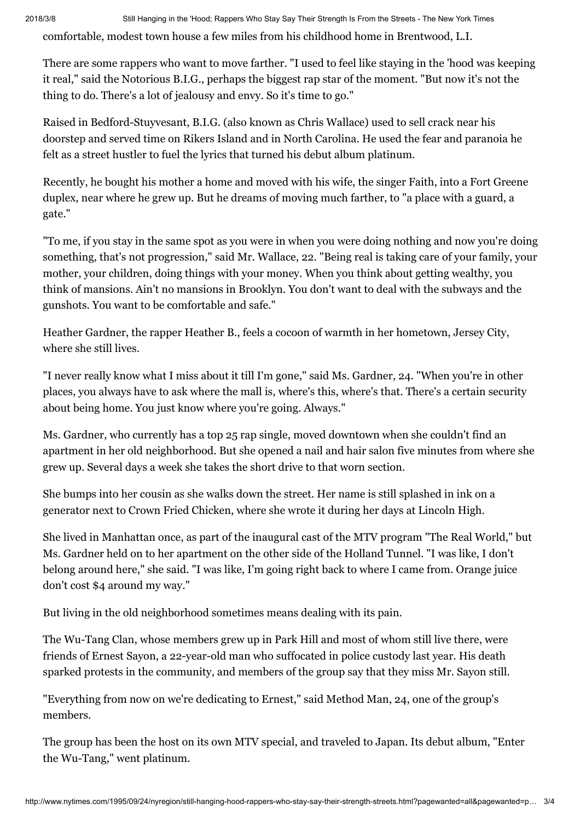2018/3/8 Still Hanging in the 'Hood; Rappers Who Stay Say Their Strength Is From the Streets - The New York Times

comfortable, modest town house a few miles from his childhood home in Brentwood, L.I.

There are some rappers who want to move farther. "I used to feel like staying in the 'hood was keeping it real," said the Notorious B.I.G., perhaps the biggest rap star of the moment. "But now it's not the thing to do. There's a lot of jealousy and envy. So it's time to go."

Raised in Bedford-Stuyvesant, B.I.G. (also known as Chris Wallace) used to sell crack near his doorstep and served time on Rikers Island and in North Carolina. He used the fear and paranoia he felt as a street hustler to fuel the lyrics that turned his debut album platinum.

Recently, he bought his mother a home and moved with his wife, the singer Faith, into a Fort Greene duplex, near where he grew up. But he dreams of moving much farther, to "a place with a guard, a gate."

"To me, if you stay in the same spot as you were in when you were doing nothing and now you're doing something, that's not progression," said Mr. Wallace, 22. "Being real is taking care of your family, your mother, your children, doing things with your money. When you think about getting wealthy, you think of mansions. Ain't no mansions in Brooklyn. You don't want to deal with the subways and the gunshots. You want to be comfortable and safe."

Heather Gardner, the rapper Heather B., feels a cocoon of warmth in her hometown, Jersey City, where she still lives.

"I never really know what I miss about it till I'm gone," said Ms. Gardner, 24. "When you're in other places, you always have to ask where the mall is, where's this, where's that. There's a certain security about being home. You just know where you're going. Always."

Ms. Gardner, who currently has a top 25 rap single, moved downtown when she couldn't find an apartment in her old neighborhood. But she opened a nail and hair salon five minutes from where she grew up. Several days a week she takes the short drive to that worn section.

She bumps into her cousin as she walks down the street. Her name is still splashed in ink on a generator next to Crown Fried Chicken, where she wrote it during her days at Lincoln High.

She lived in Manhattan once, as part of the inaugural cast of the MTV program "The Real World," but Ms. Gardner held on to her apartment on the other side of the Holland Tunnel. "I was like, I don't belong around here," she said. "I was like, I'm going right back to where I came from. Orange juice don't cost \$4 around my way."

But living in the old neighborhood sometimes means dealing with its pain.

The Wu-Tang Clan, whose members grew up in Park Hill and most of whom still live there, were friends of Ernest Sayon, a 22-year-old man who suffocated in police custody last year. His death sparked protests in the community, and members of the group say that they miss Mr. Sayon still.

"Everything from now on we're dedicating to Ernest," said Method Man, 24, one of the group's members.

The group has been the host on its own MTV special, and traveled to Japan. Its debut album, "Enter the Wu-Tang," went platinum.